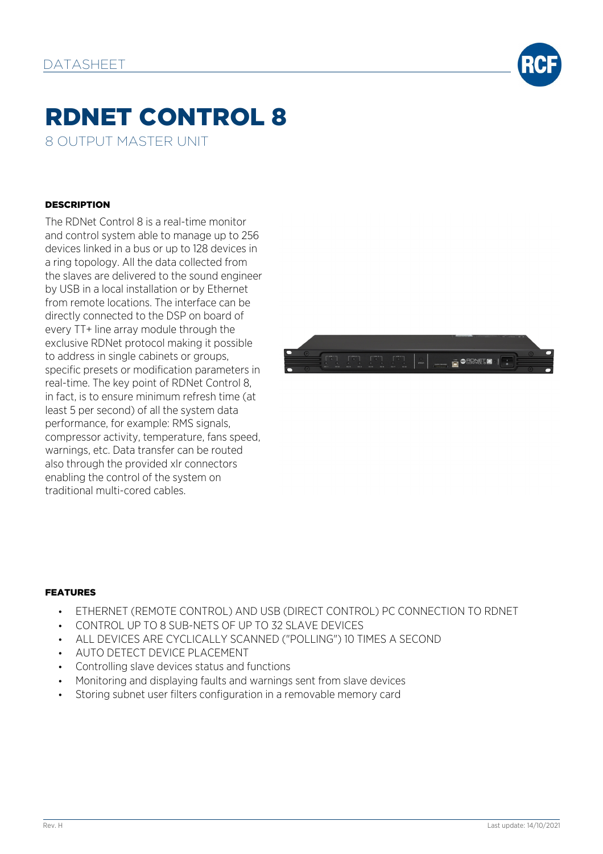

# RDNET CONTROL 8

8 OUTPUT MASTER UNIT

### **DESCRIPTION**

The RDNet Control 8 is a real-time monitor and control system able to manage up to 256 devices linked in a bus or up to 128 devices in a ring topology. All the data collected from the slaves are delivered to the sound engineer by USB in a local installation or by Ethernet from remote locations. The interface can be directly connected to the DSP on board of every TT+ line array module through the exclusive RDNet protocol making it possible to address in single cabinets or groups, specific presets or modification parameters in real-time. The key point of RDNet Control 8, in fact, is to ensure minimum refresh time (at least 5 per second) of all the system data performance, for example: RMS signals, compressor activity, temperature, fans speed, warnings, etc. Data transfer can be routed also through the provided xlr connectors enabling the control of the system on traditional multi-cored cables.



#### FEATURES

- ETHERNET (REMOTE CONTROL) AND USB (DIRECT CONTROL) PC CONNECTION TO RDNET
- CONTROL UP TO 8 SUB-NETS OF UP TO 32 SLAVE DEVICES
- ALL DEVICES ARE CYCLICALLY SCANNED ("POLLING") 10 TIMES A SECOND
- AUTO DETECT DEVICE PLACEMENT
- Controlling slave devices status and functions
- Monitoring and displaying faults and warnings sent from slave devices
- Storing subnet user filters configuration in a removable memory card